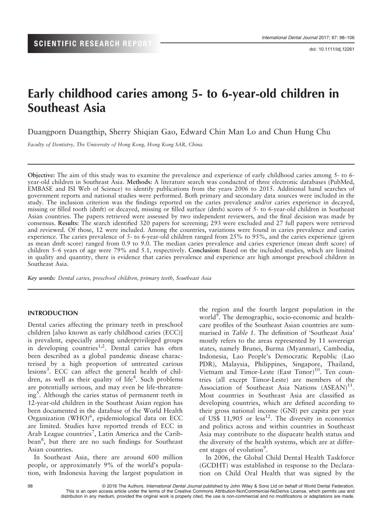# Early childhood caries among 5- to 6-year-old children in Southeast Asia

Duangporn Duangthip, Sherry Shiqian Gao, Edward Chin Man Lo and Chun Hung Chu

Faculty of Dentistry, The University of Hong Kong, Hong Kong SAR, China.

Objective: The aim of this study was to examine the prevalence and experience of early childhood caries among 5- to 6 year-old children in Southeast Asia. Methods: A literature search was conducted of three electronic databases (PubMed, EMBASE and ISI Web of Science) to identify publications from the years 2006 to 2015. Additional hand searches of government reports and national studies were performed. Both primary and secondary data sources were included in the study. The inclusion criterion was the findings reported on the caries prevalence and/or caries experience in decayed, missing or filled tooth (dmft) or decayed, missing or filled surface (dmfs) scores of 5- to 6-year-old children in Southeast Asian countries. The papers retrieved were assessed by two independent reviewers, and the final decision was made by consensus. Results: The search identified 320 papers for screening; 293 were excluded and 27 full papers were retrieved and reviewed. Of those, 12 were included. Among the countries, variations were found in caries prevalence and caries experience. The caries prevalence of 5- to 6-year-old children ranged from 25% to 95%, and the caries experience (given as mean dmft score) ranged from 0.9 to 9.0. The median caries prevalence and caries experience (mean dmft score) of children 5–6 years of age were 79% and 5.1, respectively. Conclusion: Based on the included studies, which are limited in quality and quantity, there is evidence that caries prevalence and experience are high amongst preschool children in Southeast Asia.

Key words: Dental caries, preschool children, primary teeth, Southeast Asia

#### INTRODUCTION

Dental caries affecting the primary teeth in preschool children [also known as early childhood caries (ECC)] is prevalent, especially among underprivileged groups in developing countries<sup>1,2</sup>. Dental caries has often been described as a global pandemic disease characterised by a high proportion of untreated carious lesions<sup>3</sup>. ECC can affect the general health of children, as well as their quality of life<sup>4</sup>. Such problems are potentially serious, and may even be life-threatening<sup>5</sup>. Although the caries status of permanent teeth in 12-year-old children in the Southeast Asian region has been documented in the database of the World Health Organization (WHO)<sup>6</sup>, epidemiological data on ECC are limited. Studies have reported trends of ECC in Arab League countries<sup>7</sup>, Latin America and the Caribbean<sup>8</sup>, but there are no such findings for Southeast Asian countries.

In Southeast Asia, there are around 600 million people, or approximately 9% of the world's population, with Indonesia having the largest population in the region and the fourth largest population in the world<sup>9</sup>. The demographic, socio-economic and healthcare profiles of the Southeast Asian countries are summarised in Table 1. The definition of 'Southeast Asia' mostly refers to the areas represented by 11 sovereign states, namely Brunei, Burma (Myanmar), Cambodia, Indonesia, Lao People's Democratic Republic (Lao PDR), Malaysia, Philippines, Singapore, Thailand, Vietnam and Timor-Leste (East Timor)<sup>10</sup>. Ten countries (all except Timor-Leste) are members of the Association of Southeast Asia Nations  $(ASEAN)^{11}$ . Most countries in Southeast Asia are classified as developing countries, which are defined according to their gross national income (GNI) per capita per year of US\$ 11,905 or less<sup>12</sup>. The diversity in economics and politics across and within countries in Southeast Asia may contribute to the disparate health status and the diversity of the health systems, which are at different stages of evolution<sup>9</sup>.

In 2006, the Global Child Dental Health Taskforce (GCDHT) was established in response to the Declaration on Child Oral Health that was signed by the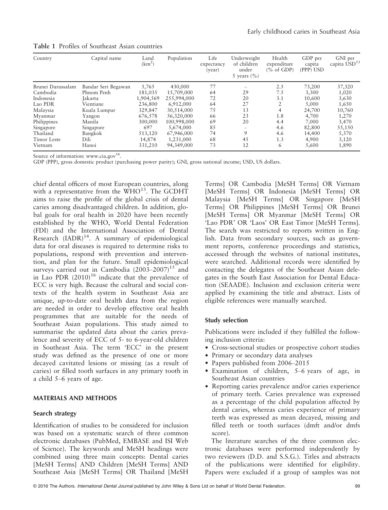| Country           | Capital name        | Land<br>(km <sup>2</sup> ) | Population  | Life<br>expectancy<br>(year) | Underweight<br>of children<br>under<br>5 years $(\% )$ | Health<br>expenditure<br>$(\%$ of GDP) | GDP per<br>capita<br>(PPP) USD | GNI per<br>capita USD <sup>53</sup> |
|-------------------|---------------------|----------------------------|-------------|------------------------------|--------------------------------------------------------|----------------------------------------|--------------------------------|-------------------------------------|
| Brunei Darussalam | Bandar Seri Begawan | 5,765                      | 430,000     | 77                           |                                                        | 2.5                                    | 73,200                         | 37,320                              |
| Cambodia          | Phnom Penh          | 181,035                    | 15,709,000  | 64                           | 29                                                     | 7.5                                    | 3,300                          | 1,020                               |
| Indonesia         | Jakarta             | 1,904,569                  | 255,994,000 | 72                           | 20                                                     | 3.1                                    | 10,600                         | 3,630                               |
| Lao PDR           | Vientiane           | 236,800                    | 6,912,000   | 64                           | 27                                                     | 2                                      | 5,000                          | 1,650                               |
| Malaysia          | Kuala Lumpur        | 329,847                    | 30,514,000  | 75                           | 13                                                     | $\overline{4}$                         | 24,700                         | 10,760                              |
| Myanmar           | Yangon              | 676,578                    | 56,320,000  | 66                           | 23                                                     | 1.8                                    | 4,700                          | 1,270                               |
| Philippines       | Manila              | 300,000                    | 100,998,000 | 69                           | 20                                                     | 4.4                                    | 7,000                          | 3,470                               |
| Singapore         | Singapore           | 697                        | 5,674,000   | 85                           | $\overline{\phantom{0}}$                               | 4.6                                    | 82,800                         | 55,150                              |
| Thailand          | Bangkok             | 513,120                    | 67,946,000  | 74                           | 9                                                      | 4.6                                    | 14,400                         | 5,370                               |
| Timor Leste       | Dili                | 14,874                     | 1,231,000   | 68                           | 45                                                     | 1.3                                    | 4,900                          | 3,120                               |
| Vietnam           | Hanoi               | 331,210                    | 94,349,000  | 73                           | 12                                                     | 6                                      | 5,600                          | 1,890                               |

Table 1 Profiles of Southeast Asian countries

Source of information: www.cia.gov $54$ .

GDP (PPP), gross domestic product (purchasing power parity); GNI, gross national income; USD, US dollars.

chief dental officers of most European countries, along with a representative from the  $WHO^{13}$ . The GCDHT aims to raise the profile of the global crisis of dental caries among disadvantaged children. In addition, global goals for oral health in 2020 have been recently established by the WHO, World Dental Federation (FDI) and the International Association of Dental Research  $(IADR)^{14}$ . A summary of epidemiological data for oral diseases is required to determine risks to populations, respond with prevention and intervention, and plan for the future. Small epidemiological surveys carried out in Cambodia  $(2003-2007)^{15}$  and in Lao PDR  $(2010)^{16}$  indicate that the prevalence of ECC is very high. Because the cultural and social contexts of the health system in Southeast Asia are unique, up-to-date oral health data from the region are needed in order to develop effective oral health programmes that are suitable for the needs of Southeast Asian populations. This study aimed to summarise the updated data about the caries prevalence and severity of ECC of 5- to 6-year-old children in Southeast Asia. The term 'ECC' in the present study was defined as the presence of one or more decayed cavitated lesions or missing (as a result of caries) or filled tooth surfaces in any primary tooth in a child 5–6 years of age.

#### MATERIALS AND METHODS

# Search strategy

Identification of studies to be considered for inclusion was based on a systematic search of three common electronic databases (PubMed, EMBASE and ISI Web of Science). The keywords and MeSH headings were combined using three main concepts: Dental caries [MeSH Terms] AND Children [MeSH Terms] AND Southeast Asia [MeSH Terms] OR Thailand [MeSH Terms] OR Cambodia [MeSH Terms] OR Vietnam [MeSH Terms] OR Indonesia [MeSH Terms] OR Malaysia [MeSH Terms] OR Singapore [MeSH Terms] OR Philippines [MeSH Terms] OR Brunei [MeSH Terms] OR Myanmar [MeSH Terms] OR 'Lao PDR' OR 'Laos' OR East Timor [MeSH Terms]. The search was restricted to reports written in English. Data from secondary sources, such as government reports, conference proceedings and statistics, accessed through the websites of national institutes, were searched. Additional records were identified by contacting the delegates of the Southeast Asian delegates in the South East Association for Dental Education (SEAADE). Inclusion and exclusion criteria were applied by examining the title and abstract. Lists of eligible references were manually searched.

# Study selection

Publications were included if they fulfilled the following inclusion criteria:

- Cross-sectional studies or prospective cohort studies
- Primary or secondary data analyses
- Papers published from 2006–2015
- Examination of children, 5–6 years of age, in Southeast Asian countries
- Reporting caries prevalence and/or caries experience of primary teeth. Caries prevalence was expressed as a percentage of the child population affected by dental caries, whereas caries experience of primary teeth was expressed as mean decayed, missing and filled teeth or tooth surfaces (dmft and/or dmfs score).

The literature searches of the three common electronic databases were performed independently by two reviewers (D.D. and S.S.G.). Titles and abstracts of the publications were identified for eligibility. Papers were excluded if a group of samples was not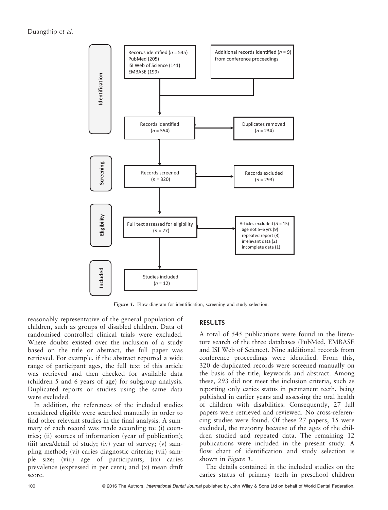Duangthip et al.



Figure 1. Flow diagram for identification, screening and study selection.

reasonably representative of the general population of children, such as groups of disabled children. Data of randomised controlled clinical trials were excluded. Where doubts existed over the inclusion of a study based on the title or abstract, the full paper was retrieved. For example, if the abstract reported a wide range of participant ages, the full text of this article was retrieved and then checked for available data (children 5 and 6 years of age) for subgroup analysis. Duplicated reports or studies using the same data were excluded.

In addition, the references of the included studies considered eligible were searched manually in order to find other relevant studies in the final analysis. A summary of each record was made according to: (i) countries; (ii) sources of information (year of publication); (iii) area/detail of study; (iv) year of survey; (v) sampling method; (vi) caries diagnostic criteria; (vii) sample size; (viii) age of participants; (ix) caries prevalence (expressed in per cent); and (x) mean dmft score.

#### RESULTS

A total of 545 publications were found in the literature search of the three databases (PubMed, EMBASE and ISI Web of Science). Nine additional records from conference proceedings were identified. From this, 320 de-duplicated records were screened manually on the basis of the title, keywords and abstract. Among these, 293 did not meet the inclusion criteria, such as reporting only caries status in permanent teeth, being published in earlier years and assessing the oral health of children with disabilities. Consequently, 27 full papers were retrieved and reviewed. No cross-referencing studies were found. Of these 27 papers, 15 were excluded, the majority because of the ages of the children studied and repeated data. The remaining 12 publications were included in the present study. A flow chart of identification and study selection is shown in Figure 1.

The details contained in the included studies on the caries status of primary teeth in preschool children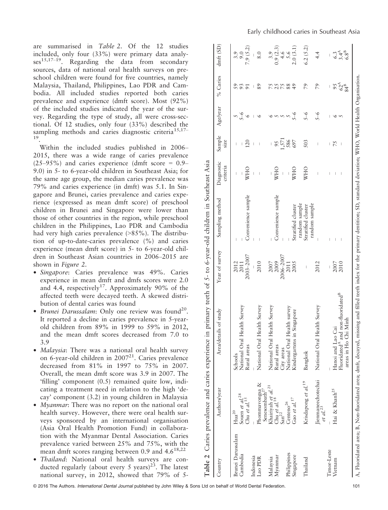are summarised in Table 2. Of the 12 studies included, only four (33%) were primary data analy $ses^{15,17-19}$ . Regarding the data from secondary sources, data of national oral health surveys on preschool children were found for five countries, namely Malaysia, Thailand, Philippines, Lao PDR and Cambodia. All included studies reported both caries prevalence and experience (dmft score). Most (92%) of the included studies indicated the year of the survey. Regarding the type of study, all were cross-sectional. Of 12 studies, only four (33%) described the sampling methods and caries diagnostic criteria<sup>15,17-</sup> 19.

Within the included studies published in 2006– 2015, there was a wide range of caries prevalence  $(25-95%)$  and caries experience (dmft score = 0.9– 9.0) in 5- to 6-year-old children in Southeast Asia; for the same age group, the median caries prevalence was 79% and caries experience (in dmft) was 5.1. In Singapore and Brunei, caries prevalence and caries experience (expressed as mean dmft score) of preschool children in Brunei and Singapore were lower than those of other countries in the region, while preschool children in the Philippines, Lao PDR and Cambodia had very high caries prevalence (>85%). The distribution of up-to-date-caries prevalence (%) and caries experience (mean dmft score) in 5- to 6-year-old children in Southeast Asian countries in 2006–2015 are shown in Figure 2.

- Singapore: Caries prevalence was 49%. Caries experience in mean dmft and dmfs scores were 2.0 and 4.4, respectively<sup>17</sup>. Approximately 90% of the affected teeth were decayed teeth. A skewed distribution of dental caries was found
- Brunei Darussalam: Only one review was found<sup>20</sup>. It reported a decline in caries prevalence in 5-yearold children from 89% in 1999 to 59% in 2012, and the mean dmft scores decreased from 7.0 to 3.9
- Malaysia: There was a national oral health survey on 6-year-old children in 200721. Caries prevalence decreased from 81% in 1997 to 75% in 2007. Overall, the mean dmft score was 3.9 in 2007. The 'filling' component (0.5) remained quite low, indicating a treatment need in relation to the high 'decay' component (3.2) in young children in Malaysia
- Myanmar: There was no report on the national oral health survey. However, there were oral health surveys sponsored by an international organisation (Asia Oral Health Promotion Fund) in collaboration with the Myanmar Dental Association. Caries prevalence varied between 25% and 75%, with the mean dmft scores ranging between 0.9 and  $4.6^{18,22}$
- Thailand: National oral health surveys are conducted regularly (about every 5 years)<sup>23</sup>. The latest national survey, in 2012, showed that 79% of 5-

|                   | Table 2 Caries prevalence and caries experience in     |                                                                                                                                                                                |                                | primary teeth of 5- to 6-year-old children in Southeast Asia |                                |                                |          |                              |                   |
|-------------------|--------------------------------------------------------|--------------------------------------------------------------------------------------------------------------------------------------------------------------------------------|--------------------------------|--------------------------------------------------------------|--------------------------------|--------------------------------|----------|------------------------------|-------------------|
| Country           | Authors/year                                           | Area/details of study                                                                                                                                                          | Year of survey                 | Sampling method                                              | Diagnostic<br>criteria         | Sample<br>size                 | Age/year | % Caries                     | dmft(SD)          |
| Brunei Darussalam | Hua <sup>20</sup>                                      | Schools                                                                                                                                                                        | 2012                           |                                                              | $\begin{array}{c} \end{array}$ | I                              |          |                              | 3.9<br>9.0        |
| Cambodia          | Souen et al. <sup>28</sup><br>Chu et al. <sup>15</sup> | National Oral Health Survey<br>Rural areas                                                                                                                                     | 2003–2007<br>2011              | Convenience sample                                           | <b>WHO</b>                     | 120<br>L                       | $5 - 6$  | 93                           | 7.9(5.2)          |
| Indonesia         |                                                        |                                                                                                                                                                                |                                |                                                              |                                |                                |          | I                            |                   |
| Lao PDR           | Phommavongsa &<br>Senesombath <sup>27</sup>            | National Oral Health Survey                                                                                                                                                    | 2010                           |                                                              | $\overline{\phantom{a}}$       |                                | $\circ$  | 89                           | 8.0               |
|                   |                                                        |                                                                                                                                                                                |                                |                                                              |                                |                                |          |                              |                   |
| Malaysia          | Khairiyah et al. <sup>21</sup>                         | National Oral Health Survey                                                                                                                                                    | 2007                           |                                                              |                                |                                |          |                              | 3.9               |
| Myanmar           | Chu et $al$ . <sup>18</sup>                            | Rural areas                                                                                                                                                                    | 2009                           | Convenience sample                                           | <b>WHO</b>                     | 95                             |          | 25                           | 0.9(2.3)          |
|                   | $\mathrm{San}^{22}$                                    | City areas                                                                                                                                                                     | 2006–2007                      |                                                              | $\begin{array}{c} \end{array}$ | 1,571                          |          |                              |                   |
| Philippines       | Centeno <sup>26</sup>                                  | National Oral Health survey                                                                                                                                                    | 2011                           |                                                              |                                | 586                            |          | 88                           | $4.6$<br>5.6      |
| Singapore         | Gao et al. $^{17}$                                     | Singapore<br>Kindergartens in                                                                                                                                                  | 2005                           | Stratified cluster                                           | <b>WHO</b>                     | 697                            | $5 - 6$  | 49                           | 2.0(3.1)          |
|                   |                                                        |                                                                                                                                                                                |                                | random sample                                                |                                |                                |          |                              |                   |
| Thailand          | Krisdapong et al. <sup>19</sup>                        | Bangkok                                                                                                                                                                        | $\begin{array}{c} \end{array}$ | Stratified cluster                                           | <b>WHO</b>                     | 503                            | $5 - 6$  | 79                           | 6.2(5.2)          |
|                   | Jienmaneechotechai<br>$et$ al. <sup>23</sup>           | National Oral Health Survey                                                                                                                                                    | 2012                           | random sample                                                | I                              | I                              | $5 - 6$  | 79                           | 4.4               |
| Timor-Leste       |                                                        |                                                                                                                                                                                |                                |                                                              | I                              | L                              |          |                              |                   |
| Vietnam           | Hai & Khanh <sup>25</sup>                              | Hanoi and Lao Cai                                                                                                                                                              | 2007                           | $\mathop{\mathbb{I}}$                                        | $\begin{array}{c} \end{array}$ | 75                             | $\circ$  |                              |                   |
|                   |                                                        | Fluoridated <sup>A</sup> and non-fluoridated <sup>B</sup>                                                                                                                      | 2010                           | $\mathcal{A}$                                                | $\mathcal{A}$                  | $\begin{array}{c} \end{array}$ | $\sim$   | $95$<br>$62^{4}$<br>$84^{8}$ | $6.348$<br>$6.88$ |
|                   |                                                        | Minh<br>areas in Ho Chi                                                                                                                                                        |                                |                                                              |                                |                                |          |                              |                   |
|                   |                                                        | A, Fluoridated area; B, Non-fluoridated area; dmft, decayed, missing and filled teeth index for the primary dentition; SD, standard deviation; WHO, World Health Organisation. |                                |                                                              |                                |                                |          |                              |                   |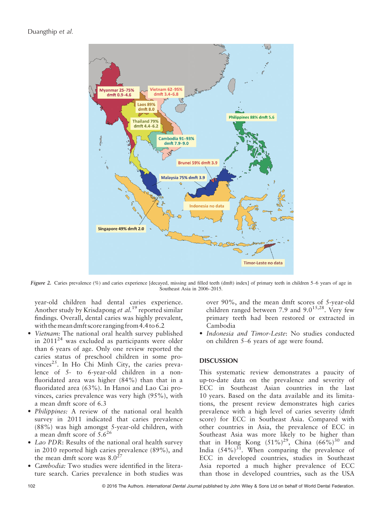

Figure 2. Caries prevalence (%) and caries experience [decayed, missing and filled teeth (dmft) index] of primary teeth in children 5–6 years of age in Southeast Asia in 2006–2015.

year-old children had dental caries experience. Another study by Krisdapong *et al.*<sup>19</sup> reported similar findings. Overall, dental caries was highly prevalent, with themean dmft score ranging from 4.4 to 6.2

- Vietnam: The national oral health survey published in  $2011^{24}$  was excluded as participants were older than 6 years of age. Only one review reported the caries status of preschool children in some provinces<sup>25</sup>. In Ho Chi Minh City, the caries prevalence of 5- to 6-year-old children in a nonfluoridated area was higher (84%) than that in a fluoridated area (63%). In Hanoi and Lao Cai provinces, caries prevalence was very high (95%), with a mean dmft score of 6.3
- *Philippines:* A review of the national oral health survey in 2011 indicated that caries prevalence (88%) was high amongst 5-year-old children, with a mean dmft score of 5.6<sup>26</sup>
- Lao PDR: Results of the national oral health survey in 2010 reported high caries prevalence (89%), and the mean dmft score was  $8.0^{27}$
- *Cambodia*: Two studies were identified in the literature search. Caries prevalence in both studies was

over 90%, and the mean dmft scores of 5-year-old children ranged between 7.9 and  $9.0^{15,28}$ . Very few primary teeth had been restored or extracted in Cambodia

• Indonesia and Timor-Leste: No studies conducted on children 5–6 years of age were found.

# **DISCUSSION**

This systematic review demonstrates a paucity of up-to-date data on the prevalence and severity of ECC in Southeast Asian countries in the last 10 years. Based on the data available and its limitations, the present review demonstrates high caries prevalence with a high level of caries severity (dmft score) for ECC in Southeast Asia. Compared with other countries in Asia, the prevalence of ECC in Southeast Asia was more likely to be higher than that in Hong Kong  $(51\%)^{29}$ , China  $(66\%)^{30}$  and India  $(54\%)^{31}$ . When comparing the prevalence of ECC in developed countries, studies in Southeast Asia reported a much higher prevalence of ECC than those in developed countries, such as the USA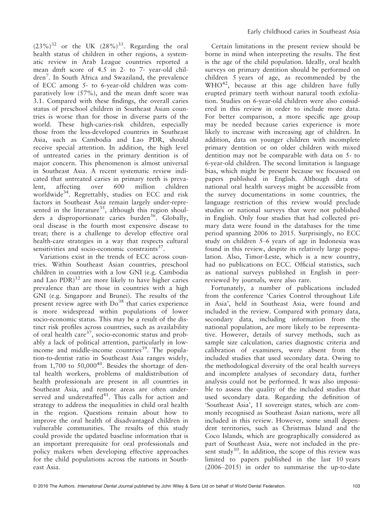$(23\%)^{32}$  or the UK  $(28\%)^{33}$ . Regarding the oral health status of children in other regions, a systematic review in Arab League countries reported a mean dmft score of 4.5 in 2- to 7- year-old children<sup>7</sup>. In South Africa and Swaziland, the prevalence of ECC among 5- to 6-year-old children was comparatively low (57%), and the mean dmft score was 3.1. Compared with these findings, the overall caries status of preschool children in Southeast Asian countries is worse than for those in diverse parts of the world. These high-caries-risk children, especially those from the less-developed countries in Southeast Asia, such as Cambodia and Lao PDR, should receive special attention. In addition, the high level of untreated caries in the primary dentition is of major concern. This phenomenon is almost universal in Southeast Asia. A recent systematic review indicated that untreated caries in primary teeth is prevalent, affecting over 600 million children worldwide<sup>34</sup>. Regrettably, studies on ECC and risk factors in Southeast Asia remain largely under-represented in the literature<sup>35</sup>, although this region shoulders a disproportionate caries burden<sup>36</sup>. Globally, oral disease is the fourth most expensive disease to treat; there is a challenge to develop effective oral health-care strategies in a way that respects cultural sensitivities and socio-economic constraints $^{37}$ .

Variations exist in the trends of ECC across countries. Within Southeast Asian countries, preschool children in countries with a low GNI (e.g. Cambodia and Lao  $PDR$ <sup>12</sup> are more likely to have higher caries prevalence than are those in countries with a high GNI (e.g. Singapore and Brunei). The results of the present review agree with  $Do<sup>38</sup>$  that caries experience is more widespread within populations of lower socio-economic status. This may be a result of the distinct risk profiles across countries, such as availability of oral health care $^{37}$ , socio-economic status and probably a lack of political attention, particularly in lowincome and middle-income countries $3<sup>39</sup>$ . The population-to-dentist ratio in Southeast Asia ranges widely, from 1,700 to  $50,000^{40}$ . Besides the shortage of dental health workers, problems of maldistribution of health professionals are present in all countries in Southeast Asia, and remote areas are often underserved and understaffed $41$ . This calls for action and strategy to address the inequalities in child oral health in the region. Questions remain about how to improve the oral health of disadvantaged children in vulnerable communities. The results of this study could provide the updated baseline information that is an important prerequisite for oral professionals and policy makers when developing effective approaches for the child populations across the nations in Southeast Asia.

Certain limitations in the present review should be borne in mind when interpreting the results. The first is the age of the child population. Ideally, oral health surveys on primary dentition should be performed on children 5 years of age, as recommended by the  $WHO^{42}$ , because at this age children have fully erupted primary teeth without natural tooth exfoliation. Studies on 6-year-old children were also considered in this review in order to include more data. For better comparison, a more specific age group may be needed because caries experience is more likely to increase with increasing age of children. In addition, data on younger children with incomplete primary dentition or on older children with mixed dentition may not be comparable with data on 5- to 6-year-old children. The second limitation is language bias, which might be present because we focussed on papers published in English. Although data of national oral health surveys might be accessible from the survey documentations in some countries, the language restriction of this review would preclude studies or national surveys that were not published in English. Only four studies that had collected primary data were found in the databases for the time period spanning 2006 to 2015. Surprisingly, no ECC study on children 5–6 years of age in Indonesia was found in this review, despite its relatively large population. Also, Timor-Leste, which is a new country, had no publications on ECC. Official statistics, such as national surveys published in English in peerreviewed by journals, were also rare.

Fortunately, a number of publications included from the conference 'Caries Control throughout Life in Asia', held in Southeast Asia, were found and included in the review. Compared with primary data, secondary data, including information from the national population, are more likely to be representative. However, details of survey methods, such as sample size calculation, caries diagnostic criteria and calibration of examiners, were absent from the included studies that used secondary data. Owing to the methodological diversity of the oral health surveys and incomplete analyses of secondary data, further analysis could not be performed. It was also impossible to assess the quality of the included studies that used secondary data. Regarding the definition of 'Southeast Asia', 11 sovereign states, which are commonly recognised as Southeast Asian nations, were all included in this review. However, some small dependent territories, such as Christmas Island and the Coco Islands, which are geographically considered as part of Southeast Asia, were not included in the present study<sup>10</sup>. In addition, the scope of this review was limited to papers published in the last 10 years (2006–2015) in order to summarise the up-to-date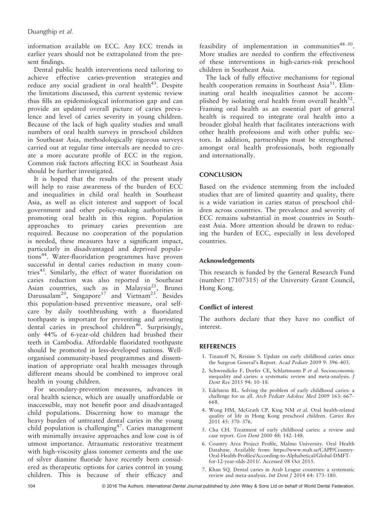information available on ECC. Any ECC trends in earlier years should not be extrapolated from the present findings.

Dental public health interventions need tailoring to achieve effective caries-prevention strategies and reduce any social gradient in oral health<sup>43</sup>. Despite the limitations discussed, this current systemic review thus fills an epidemiological information gap and can provide an updated overall picture of caries prevalence and level of caries severity in young children. Because of the lack of high quality studies and small numbers of oral health surveys in preschool children in Southeast Asia, methodologically rigorous surveys carried out at regular time intervals are needed to create a more accurate profile of ECC in the region. Common risk factors affecting ECC in Southeast Asia should be further investigated.

It is hoped that the results of the present study will help to raise awareness of the burden of ECC and inequalities in child oral health in Southeast Asia, as well as elicit interest and support of local government and other policy-making authorities in promoting oral health in this region. Population approaches to primary caries prevention are required. Because no cooperation of the population is needed, these measures have a significant impact, particularly in disadvantaged and deprived populations<sup>44</sup>. Water-fluoridation programmes have proven successful in dental caries reduction in many countries<sup>45</sup>. Similarly, the effect of water fluoridation on caries reduction was also reported in Southeast Asian countries, such as in Malaysia<sup>21</sup>, Brunei Darussalam<sup>20</sup>, Singapore<sup>17</sup> and Vietnam<sup>25</sup>. Besides this population-based preventive measure, oral selfcare by daily toothbrushing with a fluoridated toothpaste is important for preventing and arresting dental caries in preschool children<sup>46</sup>. Surprisingly, only 44% of 6-year-old children had brushed their teeth in Cambodia. Affordable fluoridated toothpaste should be promoted in less-developed nations. Wellorganised community-based programmes and dissemination of appropriate oral health messages through different means should be combined to improve oral health in young children.

For secondary-prevention measures, advances in oral health science, which are usually unaffordable or inaccessible, may not benefit poor and disadvantaged child populations. Discerning how to manage the heavy burden of untreated dental caries in the young child population is challenging<sup>47</sup>. Caries management with minimally invasive approaches and low cost is of utmost importance. Atraumatic restorative treatment with high-viscosity glass ionomer cements and the use of silver diamine fluoride have recently been considered as therapeutic options for caries control in young children. This is because of their efficacy and

feasibility of implementation in communities<sup>48–50</sup>. More studies are needed to confirm the effectiveness of these interventions in high-caries-risk preschool children in Southeast Asia.

The lack of fully effective mechanisms for regional health cooperation remains in Southeast Asia<sup>51</sup>. Eliminating oral health inequalities cannot be accomplished by isolating oral health from overall health<sup>52</sup>. Framing oral health as an essential part of general health is required to integrate oral health into a broader global health that facilitates interactions with other health professions and with other public sectors. In addition, partnerships must be strengthened amongst oral health professionals, both regionally and internationally.

#### **CONCLUSION**

Based on the evidence stemming from the included studies that are of limited quantity and quality, there is a wide variation in caries status of preschool children across countries. The prevalence and severity of ECC remains substantial in most countries in Southeast Asia. More attention should be drawn to reducing the burden of ECC, especially in less developed countries.

# Acknowledgements

This research is funded by the General Research Fund (number: 17107315) of the University Grant Council, Hong Kong.

# Conflict of interest

The authors declare that they have no conflict of interest.

#### REFERENCES

- 1. Tinanoff N, Reisine S. Update on early childhood caries since the Surgeon General's Report. Acad Pediatr 2009 9: 396–403.
- 2. Schwendicke F, Dorfer CE, Schlattmann P et al. Socioeconomic inequality and caries: a systematic review and meta-analysis. J Dent Res 2015 94: 10–18.
- 3. Edelstein BL. Solving the problem of early childhood caries: a challenge for us all. Arch Pediatr Adolesc Med 2009 163: 667– 668.
- 4. Wong HM, McGrath CP, King NM et al. Oral health-related quality of life in Hong Kong preschool children. Caries Res 2011 45: 370–376.
- 5. Chu CH. Treatment of early childhood caries: a review and case report. Gen Dent 2000 48: 142–148.
- 6. Country Area Project Profile, Malmo University. Oral Health Database. Available from: [https://www.mah.se/CAPP/Country-](https://www.mah.se/CAPP/Country-Oral-Health-Profiles/According-to-Alphabetical/Global-DMFT-for-12-year-olds-2011/)[Oral-Health-Profiles/According-to-Alphabetical/Global-DMFT](https://www.mah.se/CAPP/Country-Oral-Health-Profiles/According-to-Alphabetical/Global-DMFT-for-12-year-olds-2011/)[for-12-year-olds-2011/](https://www.mah.se/CAPP/Country-Oral-Health-Profiles/According-to-Alphabetical/Global-DMFT-for-12-year-olds-2011/). Accessed 08 Oct 2015.
- 7. Khan SQ. Dental caries in Arab League countries: a systematic review and meta-analysis. Int Dent J 2014 64: 173–180.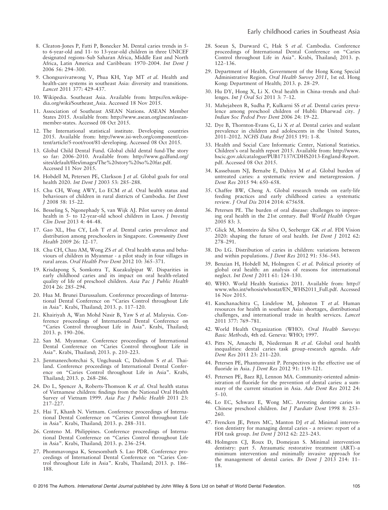- 8. Cleaton-Jones P, Fatti P, Bonecker M. Dental caries trends in 5 to 6-year-old and 11- to 13-year-old children in three UNICEF designated regions–Sub Saharan Africa, Middle East and North Africa, Latin America and Caribbean: 1970–2004. Int Dent J 2006 56: 294–300.
- 9. Chongsuvivatwong V, Phua KH, Yap MT et al. Health and health-care systems in southeast Asia: diversity and transitions. Lancet 2011 377: 429–437.
- 10. Wikipedia. Southeast Asia. Available from: [https://en.wikipe](https://en.wikipedia.org/wiki/Southeast_Asia)[dia.org/wiki/Southeast\\_Asia.](https://en.wikipedia.org/wiki/Southeast_Asia) Accessed 18 Nov 2015.
- 11. Association of Southeast ASEAN Nations. ASEAN Member States 2015. Available from: [http://www.asean.org/asean/asean](http://www.asean.org/asean/asean-member-states)[member-states.](http://www.asean.org/asean/asean-member-states) Accessed 08 Oct 2015.
- 12. The International statistical institute. Developing countries 2015. Available from: [http://www.isi-web.org/component/con](http://www.isi-web.org/component/content/article/5-root/root/81-developing)[tent/article/5-root/root/81-developing](http://www.isi-web.org/component/content/article/5-root/root/81-developing). Accessed 08 Oct 2015.
- 13. Global Child Dental Fund. Global child dental fund-The story so far: 2006–2010. Available from: [http://www.gcdfund.org/](http://www.gcdfund.org/sites/default/files/images/The%20story%20so%20far.pdf) [sites/default/files/images/The%20story%20so%20far.pdf](http://www.gcdfund.org/sites/default/files/images/The%20story%20so%20far.pdf). Accessed 11 Nov 2015.
- 14. Hobdell M, Petersen PE, Clarkson J et al. Global goals for oral health 2020. Int Dent J 2003 53: 285–288.
- 15. Chu CH, Wong AWY, Lo ECM et al. Oral health status and behaviours of children in rural districts of Cambodia. Int Dent J 2008 58: 15–22.
- 16. Besseling S, Ngonephady S, van Wijk AJ. Pilot survey on dental health in 5- to 12-year-old school children in Laos. *J Investig* Clin Dent 2013 4: 44–48.
- 17. Gao XL, Hsu CY, Loh T et al. Dental caries prevalence and distribution among preschoolers in Singapore. Community Dent Health 2009 26: 12–17.
- 18. Chu CH, Chau AM, Wong ZS et al. Oral health status and behaviours of children in Myanmar - a pilot study in four villages in rural areas. Oral Health Prev Dent 2012 10: 365–371.
- 19. Krisdapong S, Somkotra T, Kueakulpipat W. Disparities in early childhood caries and its impact on oral health-related quality of life of preschool children. Asia Pac J Public Health 2014 26: 285–294.
- 20. Hua M. Brunei Darussalum. Conference proceedings of International Dental Conference on "Caries Control throughout Life in Asia". Krabi, Thailand; 2013. p. 117–120.
- 21. Khairiyah A, Wan Mohd Nasir B, Yaw S et al. Malaysia. Conference proceedings of International Dental Conference on "Caries Control throughout Life in Asia". Krabi, Thailand; 2013. p. 190–206.
- 22. San M. Myanmar. Conference proceedings of International Dental Conference on "Caries Control throughout Life in Asia". Krabi, Thailand; 2013. p. 210–223.
- 23. Jienmaneechotechai S, Ungchusak C, Dalodom S et al. Thailand. Conference proceedings of International Dental Conference on "Caries Control throughout Life in Asia". Krabi, Thailand; 2013. p. 268–286.
- 24. Do L, Spencer A, Roberts-Thomson K et al. Oral health status of Vietnamese children: findings from the National Oral Health Survey of Vietnam 1999. Asia Pac J Public Health 2011 23: 217–227.
- 25. Hai T, Khanh N. Vietnam. Conference proceedings of International Dental Conference on "Caries Control throughout Life in Asia". Krabi, Thailand; 2013. p. 288–311.
- 26. Centeno M. Philippines. Conference proceedings of International Dental Conference on "Caries Control throughout Life in Asia". Krabi, Thailand; 2013. p. 236–254.
- 27. Phommavongsa K, Senesombath S. Lao PDR. Conference proceedings of International Dental Conference on "Caries Control throughout Life in Asia". Krabi, Thailand; 2013. p. 186– 188.
- 28. Soeun S, Durward C, Hak S et al. Cambodia. Conference proceedings of International Dental Conference on "Caries Control throughout Life in Asia". Krabi, Thailand; 2013. p. 122–136.
- 29. Department of Health, Government of the Hong Kong Special Administrative Region. Oral Health Survey 2011, 1st ed. Hong Kong: Department of Health; 2013. p. 28–29.
- 30. Hu DY, Hong X, Li X. Oral health in China–trends and challenges. Int J Oral Sci 2011 3: 7-12.
- 31. Mahejabeen R, Sudha P, Kulkarni SS et al. Dental caries prevalence among preschool children of Hubli: Dharwad city. J Indian Soc Pedod Prev Dent 2006 24: 19–22.
- 32. Dye B, Thornton-Evans G, Li X et al. Dental caries and sealant prevalence in children and adolescents in the United States, 2011–2012. NCHS Data Brief 2015 191: 1–8.
- 33. Health and Social Care Informatic Center, National Statistics. Children's oral health report 2015. Available from: [http://www.](http://www.hscic.gov.uk/catalogue/PUB17137/CDHS2013-England-Report.pdf) [hscic.gov.uk/catalogue/PUB17137/CDHS2013-England-Report.](http://www.hscic.gov.uk/catalogue/PUB17137/CDHS2013-England-Report.pdf) [pdf](http://www.hscic.gov.uk/catalogue/PUB17137/CDHS2013-England-Report.pdf). Accessed 08 Oct 2015.
- 34. Kassebaum NJ, Bernabe E, Dahiya M et al. Global burden of untreated caries: a systematic review and metaregression. J Dent Res 2015 94: 650–658.
- 35. Chaffee BW, Cheng A. Global research trends on early-life feeding practices and early childhood caries: a systematic review. J Oral Dis 2014 2014: 675658.
- 36. Petersen PE. The burden of oral disease: challenges to improving oral health in the 21st century. Bull World Health Organ 2005 83: 3.
- 37. Glick M, Monteiro da Silva O, Seeberger GK et al. FDI Vision 2020: shaping the future of oral health. Int Dent J 2012 62: 278–291.
- 38. Do LG. Distribution of caries in children: variations between and within populations. J Dent Res 2012 91: 536–543.
- 39. Benzian H, Hobdell M, Holmgren C et al. Political priority of global oral health: an analysis of reasons for international neglect. Int Dent J 2011 61: 124–130.
- 40. WHO. World Health Statistics 2011. Available from: [http://](http://www.who.int/whosis/whostat/EN_WHS2011_Full.pdf) [www.who.int/whosis/whostat/EN\\_WHS2011\\_Full.pdf.](http://www.who.int/whosis/whostat/EN_WHS2011_Full.pdf) Accessed 16 Nov 2015.
- 41. Kanchanachitra C, Lindelow M, Johnston T et al. Human resources for health in southeast Asia: shortages, distributional challenges, and international trade in health services. Lancet 2011 377: 769–781.
- 42. World Health Organization (WHO). Oral Health Surveys: Basic Methods, 4th ed. Geneva: WHO; 1997.
- 43. Pitts N, Amaechi B, Niederman R et al. Global oral health inequalities: dental caries task group–research agenda. Adv Dent Res 2011 23: 211–220.
- 44. Petersen PE, Phantumvanit P. Perspectives in the effective use of fluoride in Asia. J Dent Res 2012 91: 119–121.
- 45. Petersen PE, Baez RJ, Lennon MA. Community-oriented administration of fluoride for the prevention of dental caries: a summary of the current situation in Asia. Adv Dent Res 2012 24: 5–10.
- 46. Lo EC, Schwarz E, Wong MC. Arresting dentine caries in Chinese preschool children. Int J Paediatr Dent 1998 8: 253– 260.
- 47. Frencken JE, Peters MC, Manton DJ et al. Minimal intervention dentistry for managing dental caries - a review: report of a FDI task group. Int Dent J 2012 62: 223–243.
- 48. Holmgren CJ, Roux D, Domejean S. Minimal intervention dentistry: part 5. Atraumatic restorative treatment (ART)–a minimum intervention and minimally invasive approach for the management of dental caries. Br Dent J 2013 214: 11-18.